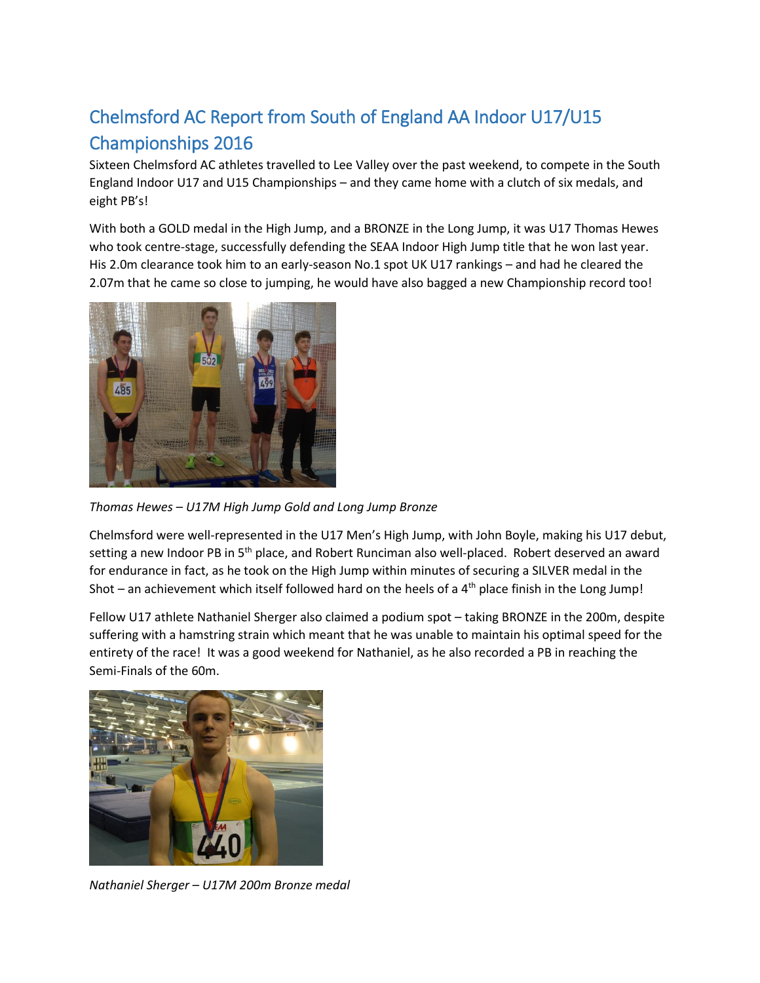## Chelmsford AC Report from South of England AA Indoor U17/U15 Championships 2016

Sixteen Chelmsford AC athletes travelled to Lee Valley over the past weekend, to compete in the South England Indoor U17 and U15 Championships – and they came home with a clutch of six medals, and eight PB's!

With both a GOLD medal in the High Jump, and a BRONZE in the Long Jump, it was U17 Thomas Hewes who took centre-stage, successfully defending the SEAA Indoor High Jump title that he won last year. His 2.0m clearance took him to an early-season No.1 spot UK U17 rankings – and had he cleared the 2.07m that he came so close to jumping, he would have also bagged a new Championship record too!



*Thomas Hewes – U17M High Jump Gold and Long Jump Bronze*

Chelmsford were well-represented in the U17 Men's High Jump, with John Boyle, making his U17 debut, setting a new Indoor PB in 5<sup>th</sup> place, and Robert Runciman also well-placed. Robert deserved an award for endurance in fact, as he took on the High Jump within minutes of securing a SILVER medal in the Shot – an achievement which itself followed hard on the heels of a  $4<sup>th</sup>$  place finish in the Long Jump!

Fellow U17 athlete Nathaniel Sherger also claimed a podium spot – taking BRONZE in the 200m, despite suffering with a hamstring strain which meant that he was unable to maintain his optimal speed for the entirety of the race! It was a good weekend for Nathaniel, as he also recorded a PB in reaching the Semi-Finals of the 60m.



*Nathaniel Sherger – U17M 200m Bronze medal*